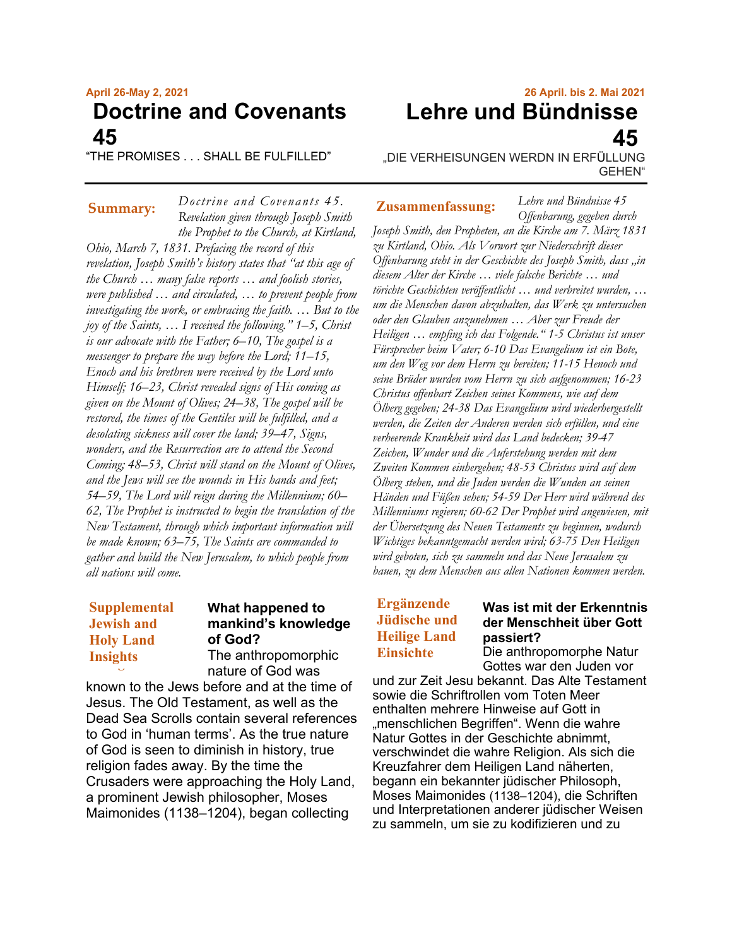# **April 26-May 2, 2021 Doctrine and Covenants 45**

"THE PROMISES . . . SHALL BE FULFILLED"

*Doctrine and Covenants 45.*

*Revelation given through Joseph Smith the Prophet to the Church, at Kirtland, Ohio, March 7, 1831. Prefacing the record of this revelation, Joseph Smith's history states that "at this age of the Church … many false reports … and foolish stories, were published … and circulated, … to prevent people from investigating the work, or embracing the faith. … But to the joy of the Saints, … I received the following." 1–5, Christ is our advocate with the Father; 6–10, The gospel is a messenger to prepare the way before the Lord; 11–15, Enoch and his brethren were received by the Lord unto Himself; 16–23, Christ revealed signs of His coming as given on the Mount of Olives; 24–38, The gospel will be restored, the times of the Gentiles will be fulfilled, and a desolating sickness will cover the land; 39–47, Signs, wonders, and the Resurrection are to attend the Second Coming; 48–53, Christ will stand on the Mount of Olives, and the Jews will see the wounds in His hands and feet; 54–59, The Lord will reign during the Millennium; 60– 62, The Prophet is instructed to begin the translation of the New Testament, through which important information will be made known; 63–75, The Saints are commanded to gather and build the New Jerusalem, to which people from all nations will come.*

# **Supplemental Supplemental Jewish and Jewish and Holy Land Holy Land Insights Insights**

# **What happened to mankind's knowledge of God?**

The anthropomorphic nature of God was

known to the Jews before and at the time of Jesus. The Old Testament, as well as the Dead Sea Scrolls contain several references to God in 'human terms'. As the true nature of God is seen to diminish in history, true religion fades away. By the time the Crusaders were approaching the Holy Land, a prominent Jewish philosopher, Moses Maimonides (1138–1204), began collecting

# **26 April. bis 2. Mai 2021 Lehre und Bündnisse 45**

*Lehre und Bündnisse 45*

"DIE VERHEISUNGEN WERDN IN ERFÜLLUNG GEHEN"

**Summary: Zusammenfassung:**

*Offenbarung, gegeben durch Joseph Smith, den Propheten, an die Kirche am 7. März 1831 zu Kirtland, Ohio. Als Vorwort zur Niederschrift dieser Offenbarung steht in der Geschichte des Joseph Smith, dass "in diesem Alter der Kirche … viele falsche Berichte … und törichte Geschichten veröffentlicht … und verbreitet wurden, … um die Menschen davon abzuhalten, das Werk zu untersuchen oder den Glauben anzunehmen … Aber zur Freude der Heiligen … empfing ich das Folgende." 1-5 Christus ist unser Fürsprecher beim Vater; 6-10 Das Evangelium ist ein Bote, um den Weg vor dem Herrn zu bereiten; 11-15 Henoch und seine Brüder wurden vom Herrn zu sich aufgenommen; 16-23 Christus offenbart Zeichen seines Kommens, wie auf dem Ölberg gegeben; 24-38 Das Evangelium wird wiederhergestellt werden, die Zeiten der Anderen werden sich erfüllen, und eine verheerende Krankheit wird das Land bedecken; 39-47 Zeichen, Wunder und die Auferstehung werden mit dem Zweiten Kommen einhergehen; 48-53 Christus wird auf dem Ölberg stehen, und die Juden werden die Wunden an seinen Händen und Füßen sehen; 54-59 Der Herr wird während des Millenniums regieren; 60-62 Der Prophet wird angewiesen, mit der Übersetzung des Neuen Testaments zu beginnen, wodurch Wichtiges bekanntgemacht werden wird; 63-75 Den Heiligen wird geboten, sich zu sammeln und das Neue Jerusalem zu bauen, zu dem Menschen aus allen Nationen kommen werden.*

# **Ergänzende Jüdische und Heilige Land Einsichte**

# **Was ist mit der Erkenntnis der Menschheit über Gott passiert?**

Die anthropomorphe Natur Gottes war den Juden vor

und zur Zeit Jesu bekannt. Das Alte Testament sowie die Schriftrollen vom Toten Meer enthalten mehrere Hinweise auf Gott in "menschlichen Begriffen". Wenn die wahre Natur Gottes in der Geschichte abnimmt, verschwindet die wahre Religion. Als sich die Kreuzfahrer dem Heiligen Land näherten, begann ein bekannter jüdischer Philosoph, Moses Maimonides (1138–1204), die Schriften und Interpretationen anderer jüdischer Weisen zu sammeln, um sie zu kodifizieren und zu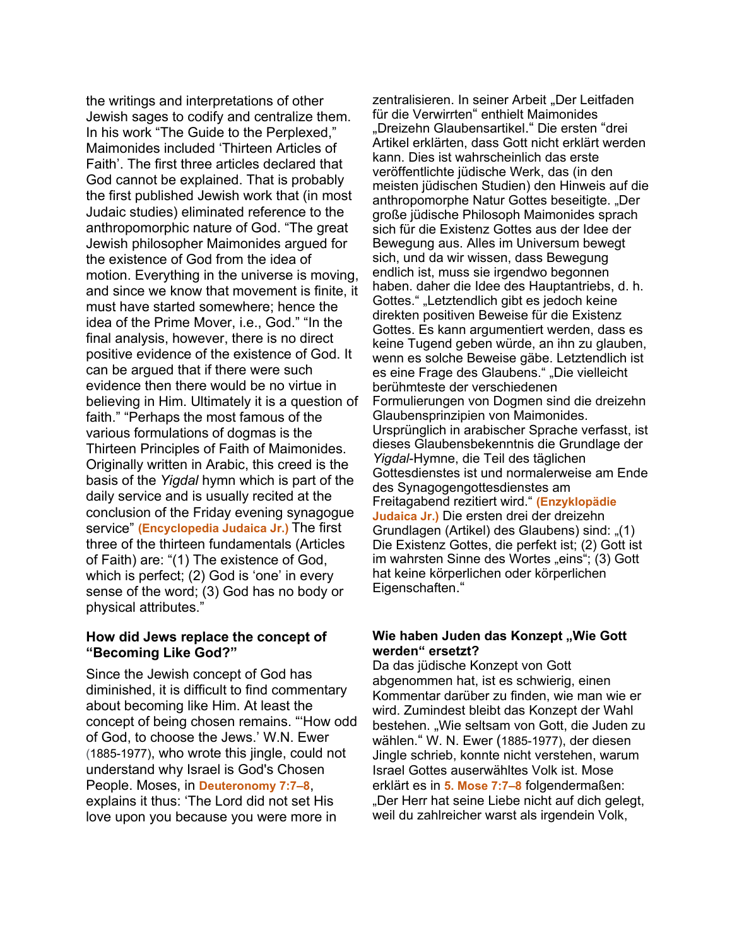the writings and interpretations of other Jewish sages to codify and centralize them. In his work "The Guide to the Perplexed," Maimonides included 'Thirteen Articles of Faith'. The first three articles declared that God cannot be explained. That is probably the first published Jewish work that (in most Judaic studies) eliminated reference to the anthropomorphic nature of God. "The great Jewish philosopher Maimonides argued for the existence of God from the idea of motion. Everything in the universe is moving, and since we know that movement is finite, it must have started somewhere; hence the idea of the Prime Mover, i.e., God." "In the final analysis, however, there is no direct positive evidence of the existence of God. It can be argued that if there were such evidence then there would be no virtue in believing in Him. Ultimately it is a question of faith." "Perhaps the most famous of the various formulations of dogmas is the Thirteen Principles of Faith of Maimonides. Originally written in Arabic, this creed is the basis of the *Yigdal* hymn which is part of the daily service and is usually recited at the conclusion of the Friday evening synagogue service" **(Encyclopedia Judaica Jr.)** The first three of the thirteen fundamentals (Articles of Faith) are: "(1) The existence of God, which is perfect; (2) God is 'one' in every sense of the word; (3) God has no body or physical attributes."

#### **How did Jews replace the concept of "Becoming Like God?"**

Since the Jewish concept of God has diminished, it is difficult to find commentary about becoming like Him. At least the concept of being chosen remains. "'How odd of God, to choose the Jews.' W.N. Ewer (1885-1977), who wrote this jingle, could not understand why Israel is God's Chosen People. Moses, in **Deuteronomy 7:7–8**, explains it thus: 'The Lord did not set His love upon you because you were more in

zentralisieren. In seiner Arbeit "Der Leitfaden für die Verwirrten" enthielt Maimonides "Dreizehn Glaubensartikel." Die ersten "drei Artikel erklärten, dass Gott nicht erklärt werden kann. Dies ist wahrscheinlich das erste veröffentlichte jüdische Werk, das (in den meisten jüdischen Studien) den Hinweis auf die anthropomorphe Natur Gottes beseitigte. "Der große jüdische Philosoph Maimonides sprach sich für die Existenz Gottes aus der Idee der Bewegung aus. Alles im Universum bewegt sich, und da wir wissen, dass Bewegung endlich ist, muss sie irgendwo begonnen haben. daher die Idee des Hauptantriebs, d. h. Gottes." "Letztendlich gibt es jedoch keine direkten positiven Beweise für die Existenz Gottes. Es kann argumentiert werden, dass es keine Tugend geben würde, an ihn zu glauben, wenn es solche Beweise gäbe. Letztendlich ist es eine Frage des Glaubens." "Die vielleicht berühmteste der verschiedenen Formulierungen von Dogmen sind die dreizehn Glaubensprinzipien von Maimonides. Ursprünglich in arabischer Sprache verfasst, ist dieses Glaubensbekenntnis die Grundlage der *Yigdal*-Hymne, die Teil des täglichen Gottesdienstes ist und normalerweise am Ende des Synagogengottesdienstes am Freitagabend rezitiert wird." **(Enzyklopädie Judaica Jr.)** Die ersten drei der dreizehn Grundlagen (Artikel) des Glaubens) sind: "(1) Die Existenz Gottes, die perfekt ist; (2) Gott ist im wahrsten Sinne des Wortes "eins"; (3) Gott hat keine körperlichen oder körperlichen Eigenschaften."

#### **Wie haben Juden das Konzept "Wie Gott werden" ersetzt?**

Da das jüdische Konzept von Gott abgenommen hat, ist es schwierig, einen Kommentar darüber zu finden, wie man wie er wird. Zumindest bleibt das Konzept der Wahl bestehen. "Wie seltsam von Gott, die Juden zu wählen." W. N. Ewer (1885-1977), der diesen Jingle schrieb, konnte nicht verstehen, warum Israel Gottes auserwähltes Volk ist. Mose erklärt es in **5. Mose 7:7–8** folgendermaßen: "Der Herr hat seine Liebe nicht auf dich gelegt, weil du zahlreicher warst als irgendein Volk,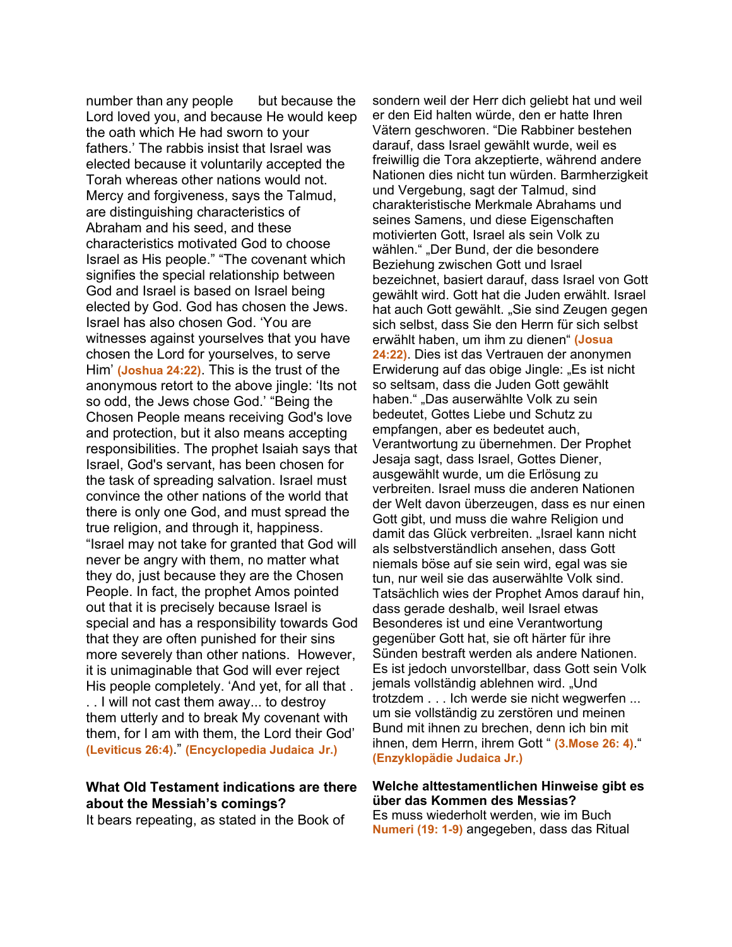number than any people but because the Lord loved you, and because He would keep the oath which He had sworn to your fathers.' The rabbis insist that Israel was elected because it voluntarily accepted the Torah whereas other nations would not. Mercy and forgiveness, says the Talmud, are distinguishing characteristics of Abraham and his seed, and these characteristics motivated God to choose Israel as His people." "The covenant which signifies the special relationship between God and Israel is based on Israel being elected by God. God has chosen the Jews. Israel has also chosen God. 'You are witnesses against yourselves that you have chosen the Lord for yourselves, to serve Him' **(Joshua 24:22)**. This is the trust of the anonymous retort to the above jingle: 'Its not so odd, the Jews chose God.' "Being the Chosen People means receiving God's love and protection, but it also means accepting responsibilities. The prophet Isaiah says that Israel, God's servant, has been chosen for the task of spreading salvation. Israel must convince the other nations of the world that there is only one God, and must spread the true religion, and through it, happiness. "Israel may not take for granted that God will never be angry with them, no matter what they do, just because they are the Chosen People. In fact, the prophet Amos pointed out that it is precisely because Israel is special and has a responsibility towards God that they are often punished for their sins more severely than other nations. However, it is unimaginable that God will ever reject His people completely. 'And yet, for all that . . . I will not cast them away... to destroy them utterly and to break My covenant with them, for I am with them, the Lord their God' **(Leviticus 26:4)**." **(Encyclopedia Judaica Jr.)**

# **What Old Testament indications are there about the Messiah's comings?**

It bears repeating, as stated in the Book of

sondern weil der Herr dich geliebt hat und weil er den Eid halten würde, den er hatte Ihren Vätern geschworen. "Die Rabbiner bestehen darauf, dass Israel gewählt wurde, weil es freiwillig die Tora akzeptierte, während andere Nationen dies nicht tun würden. Barmherzigkeit und Vergebung, sagt der Talmud, sind charakteristische Merkmale Abrahams und seines Samens, und diese Eigenschaften motivierten Gott, Israel als sein Volk zu wählen." "Der Bund, der die besondere Beziehung zwischen Gott und Israel bezeichnet, basiert darauf, dass Israel von Gott gewählt wird. Gott hat die Juden erwählt. Israel hat auch Gott gewählt. "Sie sind Zeugen gegen sich selbst, dass Sie den Herrn für sich selbst erwählt haben, um ihm zu dienen" **(Josua 24:22)**. Dies ist das Vertrauen der anonymen Erwiderung auf das obige Jingle: "Es ist nicht so seltsam, dass die Juden Gott gewählt haben." "Das auserwählte Volk zu sein bedeutet, Gottes Liebe und Schutz zu empfangen, aber es bedeutet auch, Verantwortung zu übernehmen. Der Prophet Jesaja sagt, dass Israel, Gottes Diener, ausgewählt wurde, um die Erlösung zu verbreiten. Israel muss die anderen Nationen der Welt davon überzeugen, dass es nur einen Gott gibt, und muss die wahre Religion und damit das Glück verbreiten. "Israel kann nicht als selbstverständlich ansehen, dass Gott niemals böse auf sie sein wird, egal was sie tun, nur weil sie das auserwählte Volk sind. Tatsächlich wies der Prophet Amos darauf hin, dass gerade deshalb, weil Israel etwas Besonderes ist und eine Verantwortung gegenüber Gott hat, sie oft härter für ihre Sünden bestraft werden als andere Nationen. Es ist jedoch unvorstellbar, dass Gott sein Volk jemals vollständig ablehnen wird. "Und trotzdem . . . Ich werde sie nicht wegwerfen ... um sie vollständig zu zerstören und meinen Bund mit ihnen zu brechen, denn ich bin mit ihnen, dem Herrn, ihrem Gott " **(3.Mose 26: 4)**." **(Enzyklopädie Judaica Jr.)**

#### **Welche alttestamentlichen Hinweise gibt es über das Kommen des Messias?**

Es muss wiederholt werden, wie im Buch **Numeri (19: 1-9)** angegeben, dass das Ritual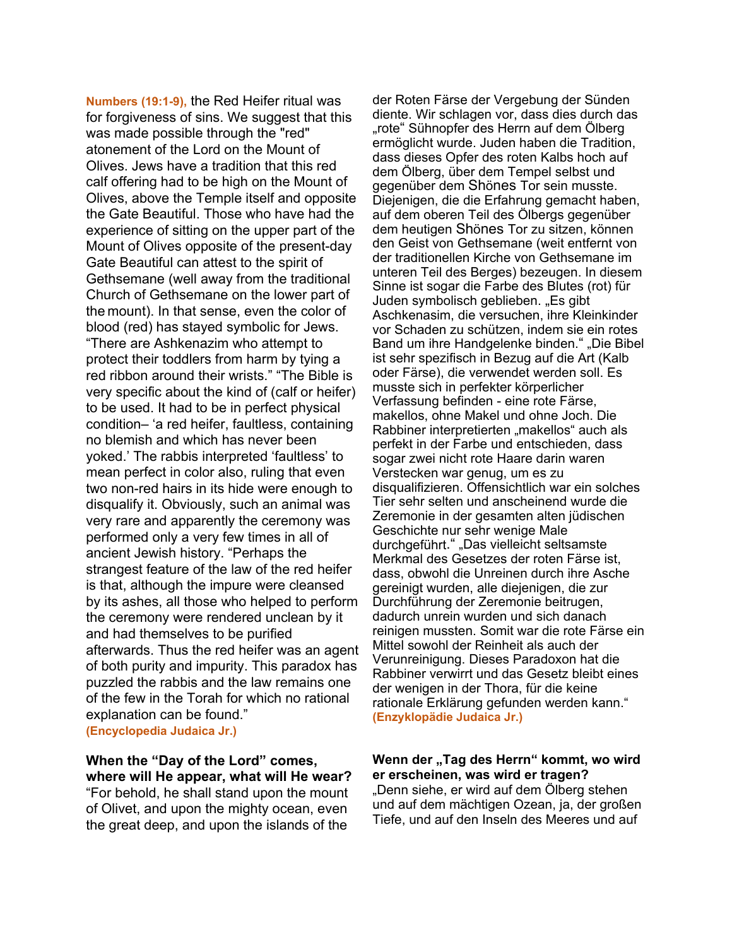**Numbers (19:1-9),** the Red Heifer ritual was for forgiveness of sins. We suggest that this was made possible through the "red" atonement of the Lord on the Mount of Olives. Jews have a tradition that this red calf offering had to be high on the Mount of Olives, above the Temple itself and opposite the Gate Beautiful. Those who have had the experience of sitting on the upper part of the Mount of Olives opposite of the present-day Gate Beautiful can attest to the spirit of Gethsemane (well away from the traditional Church of Gethsemane on the lower part of the mount). In that sense, even the color of blood (red) has stayed symbolic for Jews. "There are Ashkenazim who attempt to protect their toddlers from harm by tying a red ribbon around their wrists." "The Bible is very specific about the kind of (calf or heifer) to be used. It had to be in perfect physical condition– 'a red heifer, faultless, containing no blemish and which has never been yoked.' The rabbis interpreted 'faultless' to mean perfect in color also, ruling that even two non-red hairs in its hide were enough to disqualify it. Obviously, such an animal was very rare and apparently the ceremony was performed only a very few times in all of ancient Jewish history. "Perhaps the strangest feature of the law of the red heifer is that, although the impure were cleansed by its ashes, all those who helped to perform the ceremony were rendered unclean by it and had themselves to be purified afterwards. Thus the red heifer was an agent of both purity and impurity. This paradox has puzzled the rabbis and the law remains one of the few in the Torah for which no rational explanation can be found." **(Encyclopedia Judaica Jr.)**

# **When the "Day of the Lord" comes, where will He appear, what will He wear?**

"For behold, he shall stand upon the mount of Olivet, and upon the mighty ocean, even the great deep, and upon the islands of the

der Roten Färse der Vergebung der Sünden diente. Wir schlagen vor, dass dies durch das "rote" Sühnopfer des Herrn auf dem Ölberg ermöglicht wurde. Juden haben die Tradition, dass dieses Opfer des roten Kalbs hoch auf dem Ölberg, über dem Tempel selbst und gegenüber dem Shönes Tor sein musste. Diejenigen, die die Erfahrung gemacht haben, auf dem oberen Teil des Ölbergs gegenüber dem heutigen Shönes Tor zu sitzen, können den Geist von Gethsemane (weit entfernt von der traditionellen Kirche von Gethsemane im unteren Teil des Berges) bezeugen. In diesem Sinne ist sogar die Farbe des Blutes (rot) für Juden symbolisch geblieben. "Es gibt Aschkenasim, die versuchen, ihre Kleinkinder vor Schaden zu schützen, indem sie ein rotes Band um ihre Handgelenke binden." "Die Bibel ist sehr spezifisch in Bezug auf die Art (Kalb oder Färse), die verwendet werden soll. Es musste sich in perfekter körperlicher Verfassung befinden - eine rote Färse, makellos, ohne Makel und ohne Joch. Die Rabbiner interpretierten "makellos" auch als perfekt in der Farbe und entschieden, dass sogar zwei nicht rote Haare darin waren Verstecken war genug, um es zu disqualifizieren. Offensichtlich war ein solches Tier sehr selten und anscheinend wurde die Zeremonie in der gesamten alten jüdischen Geschichte nur sehr wenige Male durchgeführt." "Das vielleicht seltsamste Merkmal des Gesetzes der roten Färse ist, dass, obwohl die Unreinen durch ihre Asche gereinigt wurden, alle diejenigen, die zur Durchführung der Zeremonie beitrugen, dadurch unrein wurden und sich danach reinigen mussten. Somit war die rote Färse ein Mittel sowohl der Reinheit als auch der Verunreinigung. Dieses Paradoxon hat die Rabbiner verwirrt und das Gesetz bleibt eines der wenigen in der Thora, für die keine rationale Erklärung gefunden werden kann." **(Enzyklopädie Judaica Jr.)**

### Wenn der "Tag des Herrn" kommt, wo wird **er erscheinen, was wird er tragen?**

"Denn siehe, er wird auf dem Ölberg stehen und auf dem mächtigen Ozean, ja, der großen Tiefe, und auf den Inseln des Meeres und auf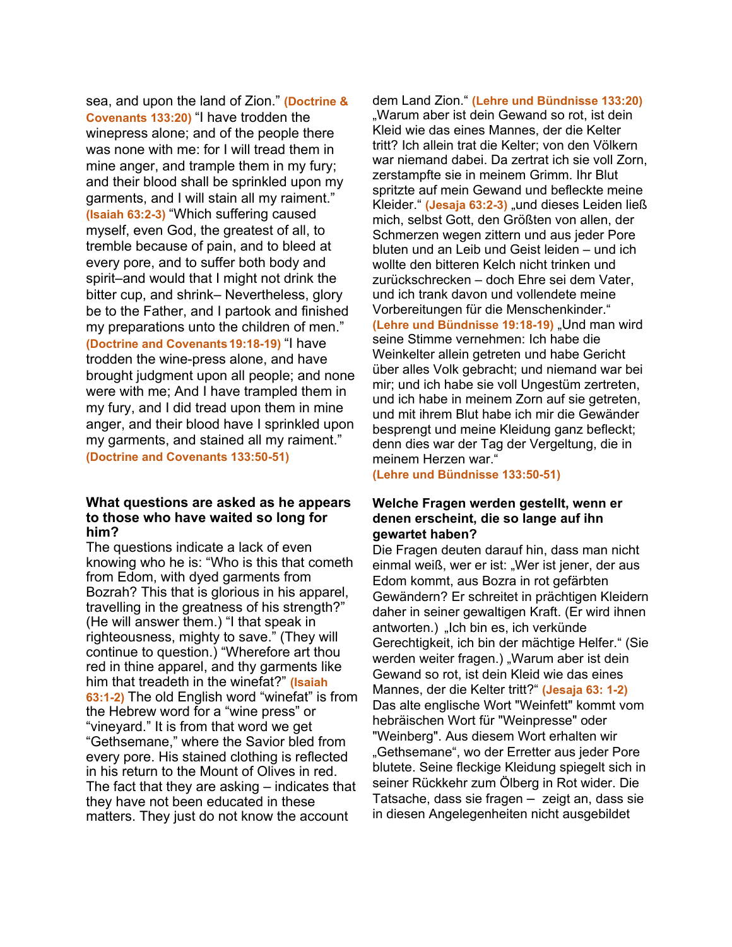sea, and upon the land of Zion." **(Doctrine & Covenants 133:20)** "I have trodden the winepress alone; and of the people there was none with me: for I will tread them in mine anger, and trample them in my fury; and their blood shall be sprinkled upon my garments, and I will stain all my raiment." **(Isaiah 63:2-3)** "Which suffering caused myself, even God, the greatest of all, to tremble because of pain, and to bleed at every pore, and to suffer both body and spirit–and would that I might not drink the bitter cup, and shrink– Nevertheless, glory be to the Father, and I partook and finished my preparations unto the children of men." **(Doctrine and Covenants19:18-19)** "I have trodden the wine-press alone, and have brought judgment upon all people; and none were with me; And I have trampled them in my fury, and I did tread upon them in mine anger, and their blood have I sprinkled upon my garments, and stained all my raiment." **(Doctrine and Covenants 133:50-51)**

#### **What questions are asked as he appears to those who have waited so long for him?**

The questions indicate a lack of even knowing who he is: "Who is this that cometh from Edom, with dyed garments from Bozrah? This that is glorious in his apparel, travelling in the greatness of his strength?" (He will answer them.) "I that speak in righteousness, mighty to save." (They will continue to question.) "Wherefore art thou red in thine apparel, and thy garments like him that treadeth in the winefat?" **(Isaiah 63:1-2)** The old English word "winefat" is from the Hebrew word for a "wine press" or "vineyard." It is from that word we get "Gethsemane," where the Savior bled from every pore. His stained clothing is reflected in his return to the Mount of Olives in red. The fact that they are asking – indicates that they have not been educated in these matters. They just do not know the account

dem Land Zion." **(Lehre und Bündnisse 133:20)** "Warum aber ist dein Gewand so rot, ist dein Kleid wie das eines Mannes, der die Kelter tritt? Ich allein trat die Kelter; von den Völkern war niemand dabei. Da zertrat ich sie voll Zorn, zerstampfte sie in meinem Grimm. Ihr Blut spritzte auf mein Gewand und befleckte meine Kleider." (Jesaja 63:2-3) "und dieses Leiden ließ mich, selbst Gott, den Größten von allen, der Schmerzen wegen zittern und aus jeder Pore bluten und an Leib und Geist leiden – und ich wollte den bitteren Kelch nicht trinken und zurückschrecken – doch Ehre sei dem Vater, und ich trank davon und vollendete meine Vorbereitungen für die Menschenkinder." **(Lehre und Bündnisse 19:18-19)** "Und man wird seine Stimme vernehmen: Ich habe die Weinkelter allein getreten und habe Gericht über alles Volk gebracht; und niemand war bei mir; und ich habe sie voll Ungestüm zertreten, und ich habe in meinem Zorn auf sie getreten, und mit ihrem Blut habe ich mir die Gewänder besprengt und meine Kleidung ganz befleckt; denn dies war der Tag der Vergeltung, die in meinem Herzen war."

**(Lehre und Bündnisse 133:50-51)**

#### **Welche Fragen werden gestellt, wenn er denen erscheint, die so lange auf ihn gewartet haben?**

Die Fragen deuten darauf hin, dass man nicht einmal weiß, wer er ist: "Wer ist jener, der aus Edom kommt, aus Bozra in rot gefärbten Gewändern? Er schreitet in prächtigen Kleidern daher in seiner gewaltigen Kraft. (Er wird ihnen antworten.) "Ich bin es, ich verkünde Gerechtigkeit, ich bin der mächtige Helfer." (Sie werden weiter fragen.) "Warum aber ist dein Gewand so rot, ist dein Kleid wie das eines Mannes, der die Kelter tritt?" **(Jesaja 63: 1-2)** Das alte englische Wort "Weinfett" kommt vom hebräischen Wort für "Weinpresse" oder "Weinberg". Aus diesem Wort erhalten wir "Gethsemane", wo der Erretter aus jeder Pore blutete. Seine fleckige Kleidung spiegelt sich in seiner Rückkehr zum Ölberg in Rot wider. Die Tatsache, dass sie fragen – zeigt an, dass sie in diesen Angelegenheiten nicht ausgebildet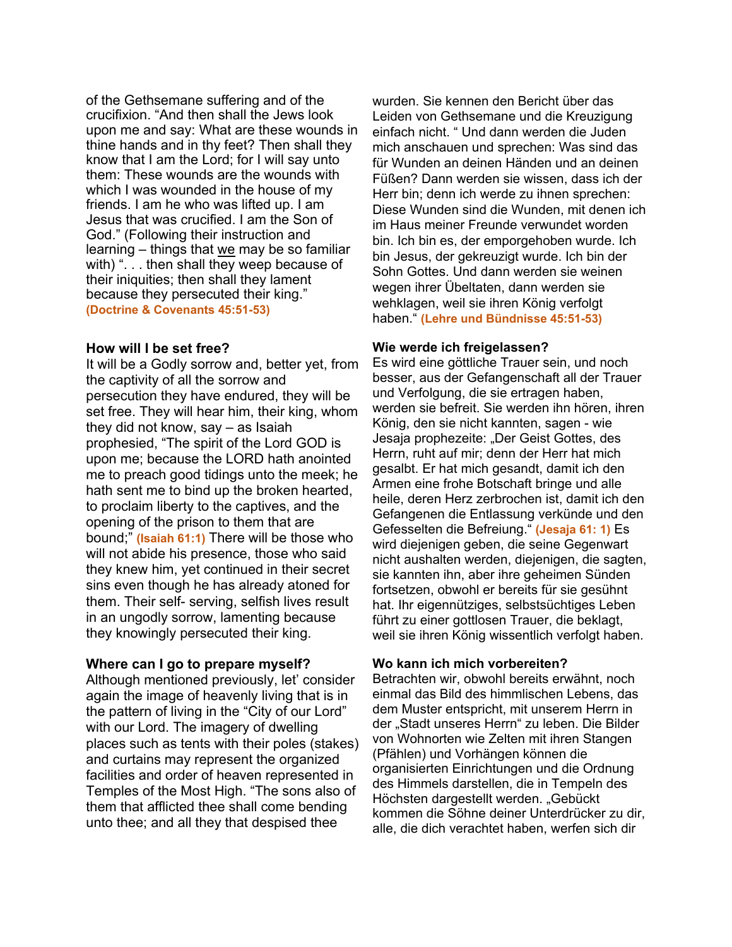of the Gethsemane suffering and of the crucifixion. "And then shall the Jews look upon me and say: What are these wounds in thine hands and in thy feet? Then shall they know that I am the Lord; for I will say unto them: These wounds are the wounds with which I was wounded in the house of my friends. I am he who was lifted up. I am Jesus that was crucified. I am the Son of God." (Following their instruction and learning – things that we may be so familiar with) ". . . then shall they weep because of their iniquities; then shall they lament because they persecuted their king." **(Doctrine & Covenants 45:51-53)**

#### **How will I be set free?**

It will be a Godly sorrow and, better yet, from the captivity of all the sorrow and persecution they have endured, they will be set free. They will hear him, their king, whom they did not know, say – as Isaiah prophesied, "The spirit of the Lord GOD is upon me; because the LORD hath anointed me to preach good tidings unto the meek; he hath sent me to bind up the broken hearted, to proclaim liberty to the captives, and the opening of the prison to them that are bound;" **(Isaiah 61:1)** There will be those who will not abide his presence, those who said they knew him, yet continued in their secret sins even though he has already atoned for them. Their self- serving, selfish lives result in an ungodly sorrow, lamenting because they knowingly persecuted their king.

#### **Where can I go to prepare myself?**

Although mentioned previously, let' consider again the image of heavenly living that is in the pattern of living in the "City of our Lord" with our Lord. The imagery of dwelling places such as tents with their poles (stakes) and curtains may represent the organized facilities and order of heaven represented in Temples of the Most High. "The sons also of them that afflicted thee shall come bending unto thee; and all they that despised thee

wurden. Sie kennen den Bericht über das Leiden von Gethsemane und die Kreuzigung einfach nicht. " Und dann werden die Juden mich anschauen und sprechen: Was sind das für Wunden an deinen Händen und an deinen Füßen? Dann werden sie wissen, dass ich der Herr bin; denn ich werde zu ihnen sprechen: Diese Wunden sind die Wunden, mit denen ich im Haus meiner Freunde verwundet worden bin. Ich bin es, der emporgehoben wurde. Ich bin Jesus, der gekreuzigt wurde. Ich bin der Sohn Gottes. Und dann werden sie weinen wegen ihrer Übeltaten, dann werden sie wehklagen, weil sie ihren König verfolgt haben." **(Lehre und Bündnisse 45:51-53)**

#### **Wie werde ich freigelassen?**

Es wird eine göttliche Trauer sein, und noch besser, aus der Gefangenschaft all der Trauer und Verfolgung, die sie ertragen haben, werden sie befreit. Sie werden ihn hören, ihren König, den sie nicht kannten, sagen - wie Jesaja prophezeite: "Der Geist Gottes, des Herrn, ruht auf mir; denn der Herr hat mich gesalbt. Er hat mich gesandt, damit ich den Armen eine frohe Botschaft bringe und alle heile, deren Herz zerbrochen ist, damit ich den Gefangenen die Entlassung verkünde und den Gefesselten die Befreiung." **(Jesaja 61: 1)** Es wird diejenigen geben, die seine Gegenwart nicht aushalten werden, diejenigen, die sagten, sie kannten ihn, aber ihre geheimen Sünden fortsetzen, obwohl er bereits für sie gesühnt hat. Ihr eigennütziges, selbstsüchtiges Leben führt zu einer gottlosen Trauer, die beklagt, weil sie ihren König wissentlich verfolgt haben.

## **Wo kann ich mich vorbereiten?**

Betrachten wir, obwohl bereits erwähnt, noch einmal das Bild des himmlischen Lebens, das dem Muster entspricht, mit unserem Herrn in der "Stadt unseres Herrn" zu leben. Die Bilder von Wohnorten wie Zelten mit ihren Stangen (Pfählen) und Vorhängen können die organisierten Einrichtungen und die Ordnung des Himmels darstellen, die in Tempeln des Höchsten dargestellt werden. "Gebückt kommen die Söhne deiner Unterdrücker zu dir, alle, die dich verachtet haben, werfen sich dir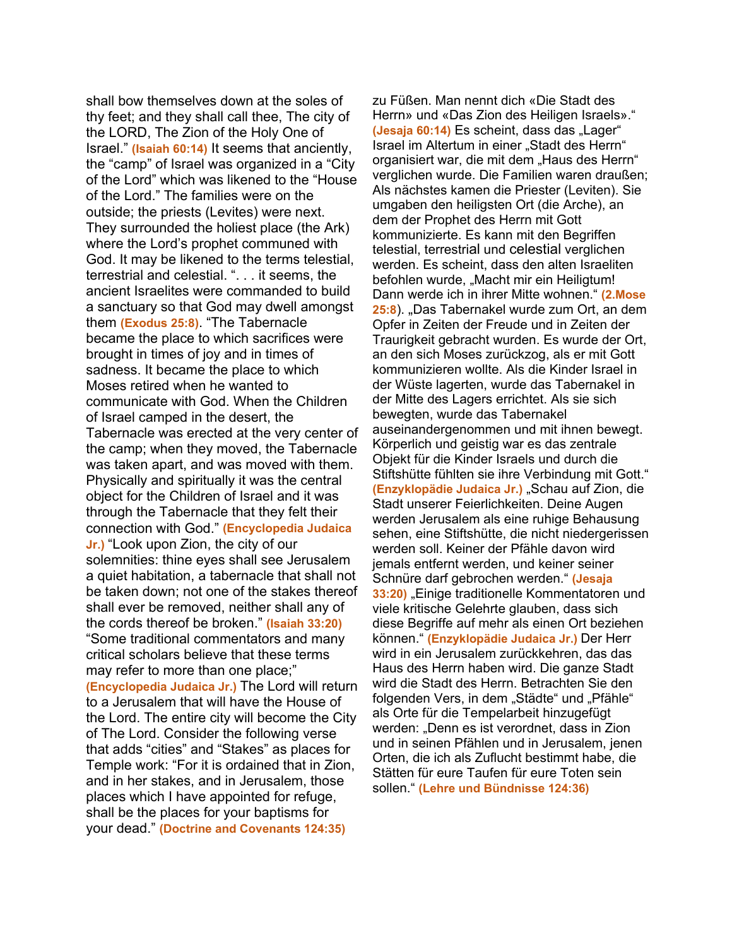shall bow themselves down at the soles of thy feet; and they shall call thee, The city of the LORD, The Zion of the Holy One of Israel." **(Isaiah 60:14)** It seems that anciently, the "camp" of Israel was organized in a "City of the Lord" which was likened to the "House of the Lord." The families were on the outside; the priests (Levites) were next. They surrounded the holiest place (the Ark) where the Lord's prophet communed with God. It may be likened to the terms telestial, terrestrial and celestial. ". . . it seems, the ancient Israelites were commanded to build a sanctuary so that God may dwell amongst them **(Exodus 25:8)**. "The Tabernacle became the place to which sacrifices were brought in times of joy and in times of sadness. It became the place to which Moses retired when he wanted to communicate with God. When the Children of Israel camped in the desert, the Tabernacle was erected at the very center of the camp; when they moved, the Tabernacle was taken apart, and was moved with them. Physically and spiritually it was the central object for the Children of Israel and it was through the Tabernacle that they felt their connection with God." **(Encyclopedia Judaica Jr.)** "Look upon Zion, the city of our solemnities: thine eyes shall see Jerusalem a quiet habitation, a tabernacle that shall not be taken down; not one of the stakes thereof shall ever be removed, neither shall any of the cords thereof be broken." **(Isaiah 33:20)** "Some traditional commentators and many critical scholars believe that these terms may refer to more than one place;" **(Encyclopedia Judaica Jr.)** The Lord will return to a Jerusalem that will have the House of the Lord. The entire city will become the City of The Lord. Consider the following verse that adds "cities" and "Stakes" as places for Temple work: "For it is ordained that in Zion, and in her stakes, and in Jerusalem, those places which I have appointed for refuge, shall be the places for your baptisms for your dead." **(Doctrine and Covenants 124:35)**

zu Füßen. Man nennt dich «Die Stadt des Herrn» und «Das Zion des Heiligen Israels»." (Jesaja 60:14) Es scheint, dass das "Lager" Israel im Altertum in einer "Stadt des Herrn" organisiert war, die mit dem "Haus des Herrn" verglichen wurde. Die Familien waren draußen; Als nächstes kamen die Priester (Leviten). Sie umgaben den heiligsten Ort (die Arche), an dem der Prophet des Herrn mit Gott kommunizierte. Es kann mit den Begriffen telestial, terrestrial und celestial verglichen werden. Es scheint, dass den alten Israeliten befohlen wurde, "Macht mir ein Heiligtum! Dann werde ich in ihrer Mitte wohnen." **(2.Mose 25:8**). "Das Tabernakel wurde zum Ort, an dem Opfer in Zeiten der Freude und in Zeiten der Traurigkeit gebracht wurden. Es wurde der Ort, an den sich Moses zurückzog, als er mit Gott kommunizieren wollte. Als die Kinder Israel in der Wüste lagerten, wurde das Tabernakel in der Mitte des Lagers errichtet. Als sie sich bewegten, wurde das Tabernakel auseinandergenommen und mit ihnen bewegt. Körperlich und geistig war es das zentrale Objekt für die Kinder Israels und durch die Stiftshütte fühlten sie ihre Verbindung mit Gott." **(Enzyklopädie Judaica Jr.)** "Schau auf Zion, die Stadt unserer Feierlichkeiten. Deine Augen werden Jerusalem als eine ruhige Behausung sehen, eine Stiftshütte, die nicht niedergerissen werden soll. Keiner der Pfähle davon wird jemals entfernt werden, und keiner seiner Schnüre darf gebrochen werden." **(Jesaja 33:20)** "Einige traditionelle Kommentatoren und viele kritische Gelehrte glauben, dass sich diese Begriffe auf mehr als einen Ort beziehen können." **(Enzyklopädie Judaica Jr.)** Der Herr wird in ein Jerusalem zurückkehren, das das Haus des Herrn haben wird. Die ganze Stadt wird die Stadt des Herrn. Betrachten Sie den folgenden Vers, in dem "Städte" und "Pfähle" als Orte für die Tempelarbeit hinzugefügt werden: "Denn es ist verordnet, dass in Zion und in seinen Pfählen und in Jerusalem, jenen Orten, die ich als Zuflucht bestimmt habe, die Stätten für eure Taufen für eure Toten sein sollen." **(Lehre und Bündnisse 124:36)**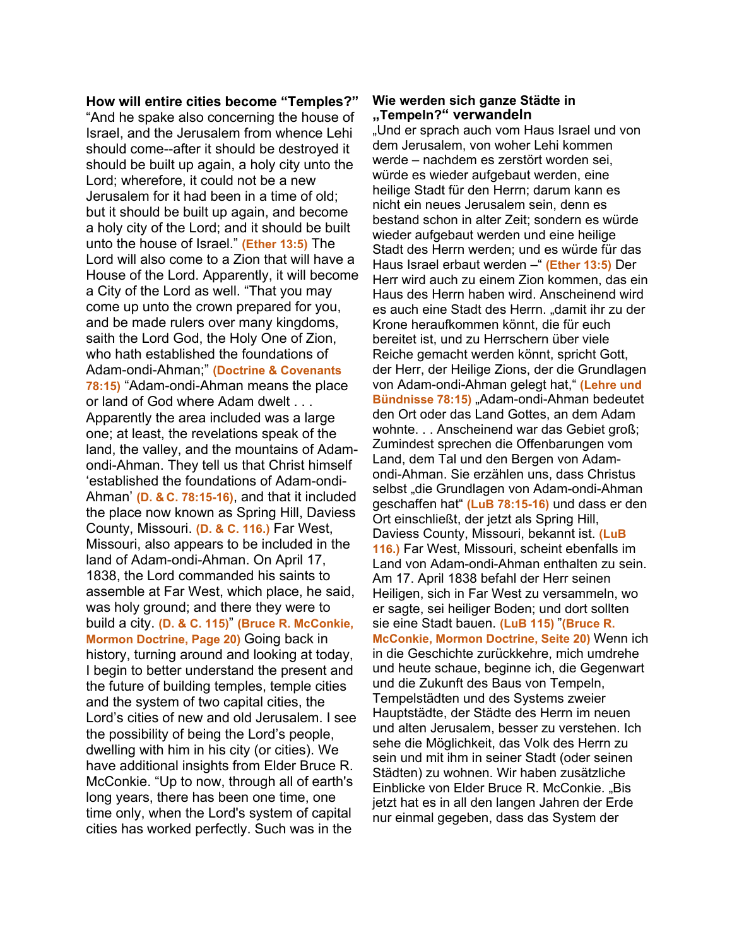**How will entire cities become "Temples?"** "And he spake also concerning the house of Israel, and the Jerusalem from whence Lehi should come--after it should be destroyed it should be built up again, a holy city unto the Lord; wherefore, it could not be a new Jerusalem for it had been in a time of old; but it should be built up again, and become a holy city of the Lord; and it should be built unto the house of Israel." **(Ether 13:5)** The Lord will also come to a Zion that will have a House of the Lord. Apparently, it will become a City of the Lord as well. "That you may come up unto the crown prepared for you, and be made rulers over many kingdoms, saith the Lord God, the Holy One of Zion, who hath established the foundations of Adam-ondi-Ahman;" **(Doctrine & Covenants 78:15)** "Adam-ondi-Ahman means the place or land of God where Adam dwelt . . . Apparently the area included was a large one; at least, the revelations speak of the land, the valley, and the mountains of Adamondi-Ahman. They tell us that Christ himself 'established the foundations of Adam-ondi-Ahman' **(D. & C. 78:15-16)**, and that it included the place now known as Spring Hill, Daviess County, Missouri. **(D. & C. 116.)** Far West, Missouri, also appears to be included in the land of Adam-ondi-Ahman. On April 17, 1838, the Lord commanded his saints to assemble at Far West, which place, he said, was holy ground; and there they were to build a city. **(D. & C. 115)**" **(Bruce R. McConkie, Mormon Doctrine, Page 20)** Going back in history, turning around and looking at today, I begin to better understand the present and the future of building temples, temple cities and the system of two capital cities, the Lord's cities of new and old Jerusalem. I see the possibility of being the Lord's people, dwelling with him in his city (or cities). We have additional insights from Elder Bruce R. McConkie. "Up to now, through all of earth's long years, there has been one time, one time only, when the Lord's system of capital cities has worked perfectly. Such was in the

#### **Wie werden sich ganze Städte in "Tempeln?" verwandeln**

"Und er sprach auch vom Haus Israel und von dem Jerusalem, von woher Lehi kommen werde – nachdem es zerstört worden sei, würde es wieder aufgebaut werden, eine heilige Stadt für den Herrn; darum kann es nicht ein neues Jerusalem sein, denn es bestand schon in alter Zeit; sondern es würde wieder aufgebaut werden und eine heilige Stadt des Herrn werden; und es würde für das Haus Israel erbaut werden –" **(Ether 13:5)** Der Herr wird auch zu einem Zion kommen, das ein Haus des Herrn haben wird. Anscheinend wird es auch eine Stadt des Herrn. "damit ihr zu der Krone heraufkommen könnt, die für euch bereitet ist, und zu Herrschern über viele Reiche gemacht werden könnt, spricht Gott, der Herr, der Heilige Zions, der die Grundlagen von Adam-ondi-Ahman gelegt hat," **(Lehre und Bündnisse 78:15)** "Adam-ondi-Ahman bedeutet den Ort oder das Land Gottes, an dem Adam wohnte. . . Anscheinend war das Gebiet groß; Zumindest sprechen die Offenbarungen vom Land, dem Tal und den Bergen von Adamondi-Ahman. Sie erzählen uns, dass Christus selbst "die Grundlagen von Adam-ondi-Ahman geschaffen hat" **(LuB 78:15-16)** und dass er den Ort einschließt, der jetzt als Spring Hill, Daviess County, Missouri, bekannt ist. **(LuB 116.)** Far West, Missouri, scheint ebenfalls im Land von Adam-ondi-Ahman enthalten zu sein. Am 17. April 1838 befahl der Herr seinen Heiligen, sich in Far West zu versammeln, wo er sagte, sei heiliger Boden; und dort sollten sie eine Stadt bauen. **(LuB 115)** "**(Bruce R. McConkie, Mormon Doctrine, Seite 20)** Wenn ich in die Geschichte zurückkehre, mich umdrehe und heute schaue, beginne ich, die Gegenwart und die Zukunft des Baus von Tempeln, Tempelstädten und des Systems zweier Hauptstädte, der Städte des Herrn im neuen und alten Jerusalem, besser zu verstehen. Ich sehe die Möglichkeit, das Volk des Herrn zu sein und mit ihm in seiner Stadt (oder seinen Städten) zu wohnen. Wir haben zusätzliche Einblicke von Elder Bruce R. McConkie. "Bis jetzt hat es in all den langen Jahren der Erde nur einmal gegeben, dass das System der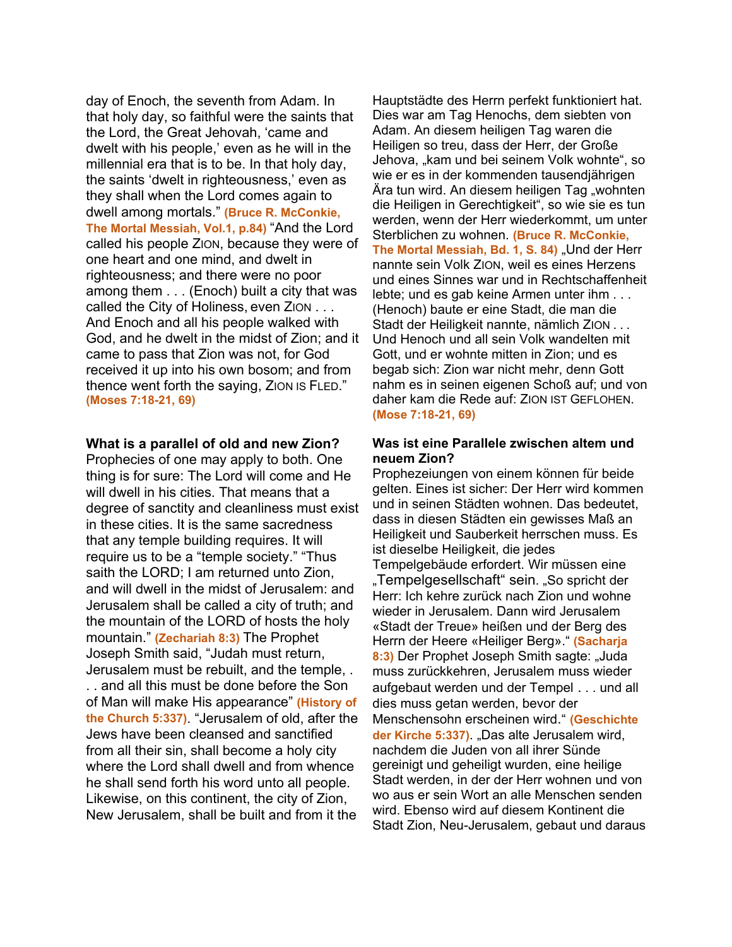day of Enoch, the seventh from Adam. In that holy day, so faithful were the saints that the Lord, the Great Jehovah, 'came and dwelt with his people,' even as he will in the millennial era that is to be. In that holy day, the saints 'dwelt in righteousness,' even as they shall when the Lord comes again to dwell among mortals." **(Bruce R. McConkie, The Mortal Messiah, Vol.1, p.84)** "And the Lord called his people ZION, because they were of one heart and one mind, and dwelt in righteousness; and there were no poor among them . . . (Enoch) built a city that was called the City of Holiness, even ZION . . . And Enoch and all his people walked with God, and he dwelt in the midst of Zion; and it came to pass that Zion was not, for God received it up into his own bosom; and from thence went forth the saying, ZION IS FLED." **(Moses 7:18-21, 69)**

#### **What is a parallel of old and new Zion?**

Prophecies of one may apply to both. One thing is for sure: The Lord will come and He will dwell in his cities. That means that a degree of sanctity and cleanliness must exist in these cities. It is the same sacredness that any temple building requires. It will require us to be a "temple society." "Thus saith the LORD; I am returned unto Zion, and will dwell in the midst of Jerusalem: and Jerusalem shall be called a city of truth; and the mountain of the LORD of hosts the holy mountain." **(Zechariah 8:3)** The Prophet Joseph Smith said, "Judah must return, Jerusalem must be rebuilt, and the temple, . . . and all this must be done before the Son of Man will make His appearance" **(History of the Church 5:337)**. "Jerusalem of old, after the Jews have been cleansed and sanctified from all their sin, shall become a holy city where the Lord shall dwell and from whence he shall send forth his word unto all people. Likewise, on this continent, the city of Zion, New Jerusalem, shall be built and from it the

Hauptstädte des Herrn perfekt funktioniert hat. Dies war am Tag Henochs, dem siebten von Adam. An diesem heiligen Tag waren die Heiligen so treu, dass der Herr, der Große Jehova, "kam und bei seinem Volk wohnte", so wie er es in der kommenden tausendjährigen Ära tun wird. An diesem heiligen Tag "wohnten die Heiligen in Gerechtigkeit", so wie sie es tun werden, wenn der Herr wiederkommt, um unter Sterblichen zu wohnen. **(Bruce R. McConkie,**  The Mortal Messiah, Bd. 1, S. 84) "Und der Herr nannte sein Volk ZION, weil es eines Herzens und eines Sinnes war und in Rechtschaffenheit lebte; und es gab keine Armen unter ihm . . . (Henoch) baute er eine Stadt, die man die Stadt der Heiligkeit nannte, nämlich ZION . . . Und Henoch und all sein Volk wandelten mit Gott, und er wohnte mitten in Zion; und es begab sich: Zion war nicht mehr, denn Gott nahm es in seinen eigenen Schoß auf; und von daher kam die Rede auf: ZION IST GEFLOHEN. **(Mose 7:18-21, 69)**

#### **Was ist eine Parallele zwischen altem und neuem Zion?**

Prophezeiungen von einem können für beide gelten. Eines ist sicher: Der Herr wird kommen und in seinen Städten wohnen. Das bedeutet, dass in diesen Städten ein gewisses Maß an Heiligkeit und Sauberkeit herrschen muss. Es ist dieselbe Heiligkeit, die jedes Tempelgebäude erfordert. Wir müssen eine "Tempelgesellschaft" sein. "So spricht der Herr: Ich kehre zurück nach Zion und wohne wieder in Jerusalem. Dann wird Jerusalem «Stadt der Treue» heißen und der Berg des Herrn der Heere «Heiliger Berg»." **(Sacharja**  8:3) Der Prophet Joseph Smith sagte: "Juda muss zurückkehren, Jerusalem muss wieder aufgebaut werden und der Tempel . . . und all dies muss getan werden, bevor der Menschensohn erscheinen wird." **(Geschichte der Kirche 5:337)**. "Das alte Jerusalem wird, nachdem die Juden von all ihrer Sünde gereinigt und geheiligt wurden, eine heilige Stadt werden, in der der Herr wohnen und von wo aus er sein Wort an alle Menschen senden wird. Ebenso wird auf diesem Kontinent die Stadt Zion, Neu-Jerusalem, gebaut und daraus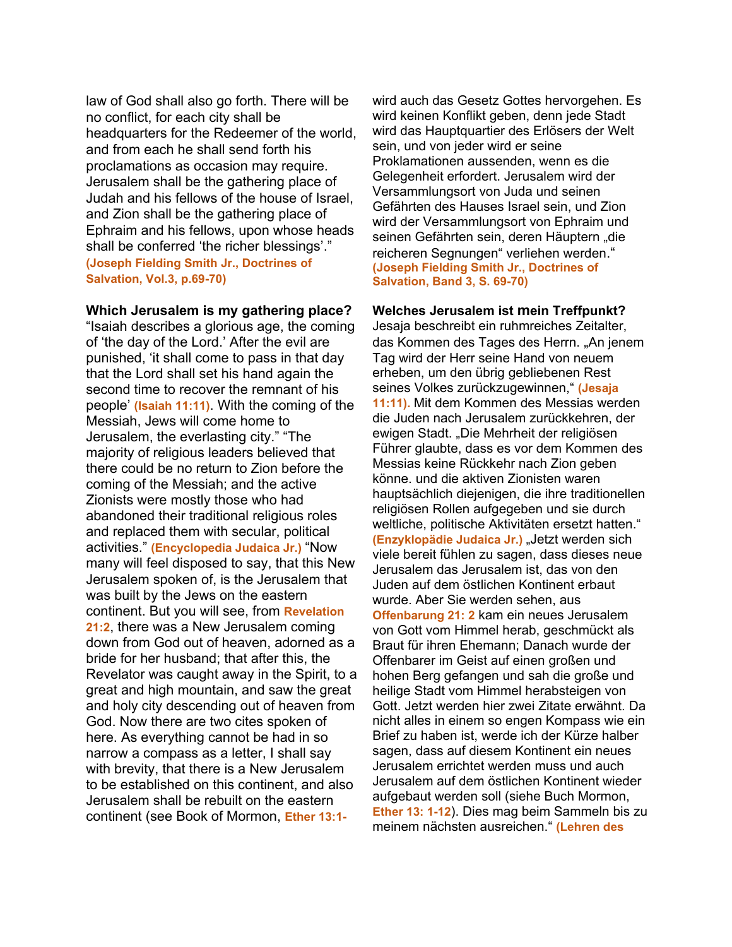law of God shall also go forth. There will be no conflict, for each city shall be headquarters for the Redeemer of the world, and from each he shall send forth his proclamations as occasion may require. Jerusalem shall be the gathering place of Judah and his fellows of the house of Israel, and Zion shall be the gathering place of Ephraim and his fellows, upon whose heads shall be conferred 'the richer blessings'." **(Joseph Fielding Smith Jr., Doctrines of Salvation, Vol.3, p.69-70)**

#### **Which Jerusalem is my gathering place?**

"Isaiah describes a glorious age, the coming of 'the day of the Lord.' After the evil are punished, 'it shall come to pass in that day that the Lord shall set his hand again the second time to recover the remnant of his people' **(Isaiah 11:11)**. With the coming of the Messiah, Jews will come home to Jerusalem, the everlasting city." "The majority of religious leaders believed that there could be no return to Zion before the coming of the Messiah; and the active Zionists were mostly those who had abandoned their traditional religious roles and replaced them with secular, political activities." **(Encyclopedia Judaica Jr.)** "Now many will feel disposed to say, that this New Jerusalem spoken of, is the Jerusalem that was built by the Jews on the eastern continent. But you will see, from **Revelation 21:2**, there was a New Jerusalem coming down from God out of heaven, adorned as a bride for her husband; that after this, the Revelator was caught away in the Spirit, to a great and high mountain, and saw the great and holy city descending out of heaven from God. Now there are two cites spoken of here. As everything cannot be had in so narrow a compass as a letter, I shall say with brevity, that there is a New Jerusalem to be established on this continent, and also Jerusalem shall be rebuilt on the eastern continent (see Book of Mormon, **Ether 13:1-** wird auch das Gesetz Gottes hervorgehen. Es wird keinen Konflikt geben, denn jede Stadt wird das Hauptquartier des Erlösers der Welt sein, und von jeder wird er seine Proklamationen aussenden, wenn es die Gelegenheit erfordert. Jerusalem wird der Versammlungsort von Juda und seinen Gefährten des Hauses Israel sein, und Zion wird der Versammlungsort von Ephraim und seinen Gefährten sein, deren Häuptern "die reicheren Segnungen" verliehen werden." **(Joseph Fielding Smith Jr., Doctrines of Salvation, Band 3, S. 69-70)**

#### **Welches Jerusalem ist mein Treffpunkt?**

Jesaja beschreibt ein ruhmreiches Zeitalter, das Kommen des Tages des Herrn. "An jenem Tag wird der Herr seine Hand von neuem erheben, um den übrig gebliebenen Rest seines Volkes zurückzugewinnen," **(Jesaja 11:11).** Mit dem Kommen des Messias werden die Juden nach Jerusalem zurückkehren, der ewigen Stadt. "Die Mehrheit der religiösen Führer glaubte, dass es vor dem Kommen des Messias keine Rückkehr nach Zion geben könne. und die aktiven Zionisten waren hauptsächlich diejenigen, die ihre traditionellen religiösen Rollen aufgegeben und sie durch weltliche, politische Aktivitäten ersetzt hatten." **(Enzyklopädie Judaica Jr.)** "Jetzt werden sich viele bereit fühlen zu sagen, dass dieses neue Jerusalem das Jerusalem ist, das von den Juden auf dem östlichen Kontinent erbaut wurde. Aber Sie werden sehen, aus **Offenbarung 21: 2** kam ein neues Jerusalem von Gott vom Himmel herab, geschmückt als Braut für ihren Ehemann; Danach wurde der Offenbarer im Geist auf einen großen und hohen Berg gefangen und sah die große und heilige Stadt vom Himmel herabsteigen von Gott. Jetzt werden hier zwei Zitate erwähnt. Da nicht alles in einem so engen Kompass wie ein Brief zu haben ist, werde ich der Kürze halber sagen, dass auf diesem Kontinent ein neues Jerusalem errichtet werden muss und auch Jerusalem auf dem östlichen Kontinent wieder aufgebaut werden soll (siehe Buch Mormon, **Ether 13: 1-12**). Dies mag beim Sammeln bis zu meinem nächsten ausreichen." **(Lehren des**